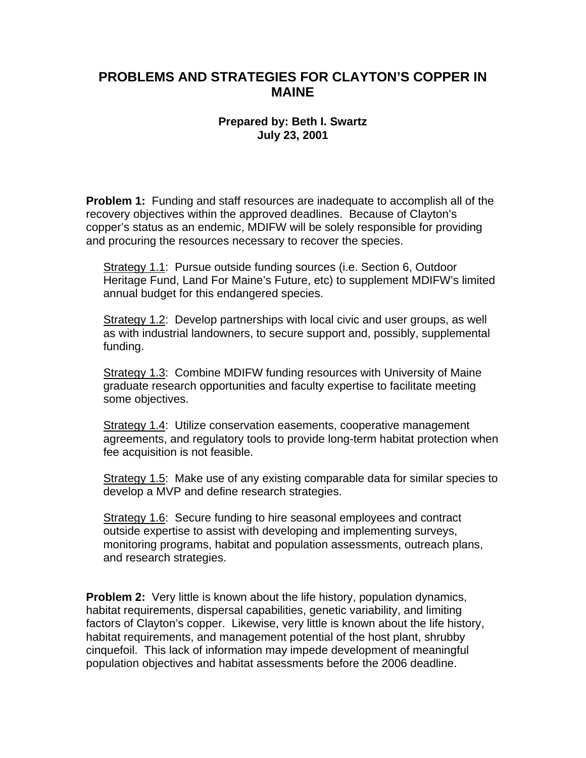## **PROBLEMS AND STRATEGIES FOR CLAYTON'S COPPER IN MAINE**

## **Prepared by: Beth I. Swartz July 23, 2001**

**Problem 1:** Funding and staff resources are inadequate to accomplish all of the recovery objectives within the approved deadlines. Because of Clayton's copper's status as an endemic, MDIFW will be solely responsible for providing and procuring the resources necessary to recover the species.

Strategy 1.1: Pursue outside funding sources (i.e. Section 6, Outdoor Heritage Fund, Land For Maine's Future, etc) to supplement MDIFW's limited annual budget for this endangered species.

Strategy 1.2: Develop partnerships with local civic and user groups, as well as with industrial landowners, to secure support and, possibly, supplemental funding.

Strategy 1.3: Combine MDIFW funding resources with University of Maine graduate research opportunities and faculty expertise to facilitate meeting some objectives.

Strategy 1.4: Utilize conservation easements, cooperative management agreements, and regulatory tools to provide long-term habitat protection when fee acquisition is not feasible.

Strategy 1.5: Make use of any existing comparable data for similar species to develop a MVP and define research strategies.

Strategy 1.6: Secure funding to hire seasonal employees and contract outside expertise to assist with developing and implementing surveys, monitoring programs, habitat and population assessments, outreach plans, and research strategies.

**Problem 2:** Very little is known about the life history, population dynamics, habitat requirements, dispersal capabilities, genetic variability, and limiting factors of Clayton's copper. Likewise, very little is known about the life history, habitat requirements, and management potential of the host plant, shrubby cinquefoil. This lack of information may impede development of meaningful population objectives and habitat assessments before the 2006 deadline.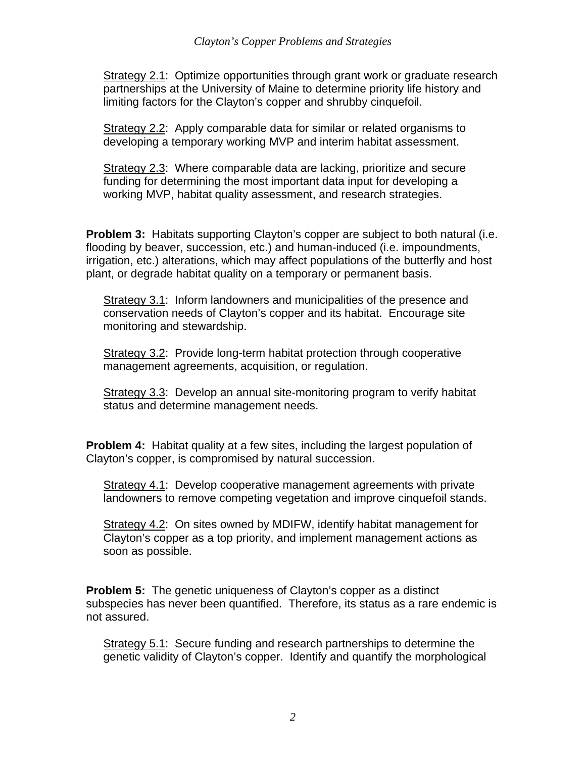Strategy 2.1: Optimize opportunities through grant work or graduate research partnerships at the University of Maine to determine priority life history and limiting factors for the Clayton's copper and shrubby cinquefoil.

Strategy 2.2: Apply comparable data for similar or related organisms to developing a temporary working MVP and interim habitat assessment.

Strategy 2.3: Where comparable data are lacking, prioritize and secure funding for determining the most important data input for developing a working MVP, habitat quality assessment, and research strategies.

**Problem 3:** Habitats supporting Clayton's copper are subject to both natural (i.e. flooding by beaver, succession, etc.) and human-induced (i.e. impoundments, irrigation, etc.) alterations, which may affect populations of the butterfly and host plant, or degrade habitat quality on a temporary or permanent basis.

Strategy 3.1: Inform landowners and municipalities of the presence and conservation needs of Clayton's copper and its habitat. Encourage site monitoring and stewardship.

Strategy 3.2: Provide long-term habitat protection through cooperative management agreements, acquisition, or regulation.

Strategy 3.3: Develop an annual site-monitoring program to verify habitat status and determine management needs.

**Problem 4:** Habitat quality at a few sites, including the largest population of Clayton's copper, is compromised by natural succession.

Strategy 4.1: Develop cooperative management agreements with private landowners to remove competing vegetation and improve cinquefoil stands.

Strategy 4.2: On sites owned by MDIFW, identify habitat management for Clayton's copper as a top priority, and implement management actions as soon as possible.

**Problem 5:** The genetic uniqueness of Clayton's copper as a distinct subspecies has never been quantified. Therefore, its status as a rare endemic is not assured.

Strategy 5.1: Secure funding and research partnerships to determine the genetic validity of Clayton's copper. Identify and quantify the morphological